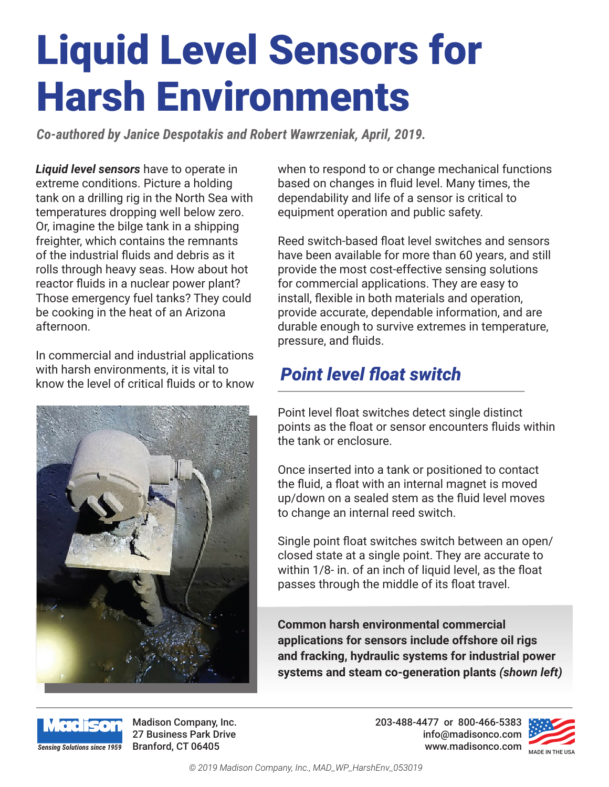# Liquid Level Sensors for Harsh Environments

*Co-authored by Janice Despotakis and Robert Wawrzeniak, April, 2019.* 

*Liquid level sensors* have to operate in extreme conditions. Picture a holding tank on a drilling rig in the North Sea with temperatures dropping well below zero. Or, imagine the bilge tank in a shipping freighter, which contains the remnants of the industrial fluids and debris as it rolls through heavy seas. How about hot reactor fluids in a nuclear power plant? Those emergency fuel tanks? They could be cooking in the heat of an Arizona afternoon.

In commercial and industrial applications with harsh environments, it is vital to know the level of critical fluids or to know



when to respond to or change mechanical functions based on changes in fluid level. Many times, the dependability and life of a sensor is critical to equipment operation and public safety.

Reed switch-based float level switches and sensors have been available for more than 60 years, and still provide the most cost-effective sensing solutions for commercial applications. They are easy to install, flexible in both materials and operation, provide accurate, dependable information, and are durable enough to survive extremes in temperature, pressure, and fluids.

# *Point level float switch*

Point level float switches detect single distinct points as the float or sensor encounters fluids within the tank or enclosure.

Once inserted into a tank or positioned to contact the fluid, a float with an internal magnet is moved up/down on a sealed stem as the fluid level moves to change an internal reed switch.

Single point float switches switch between an open/ closed state at a single point. They are accurate to within 1/8- in. of an inch of liquid level, as the float passes through the middle of its float travel.

**Common harsh environmental commercial applications for sensors include offshore oil rigs and fracking, hydraulic systems for industrial power systems and steam co-generation plants** *(shown left)*



Madison Company, Inc. 27 Business Park Drive

**Branford, CT 06405 Made in the USA** MADE IN THE USA 203-488-4477 or 800-466-5383 info@madisonco.com

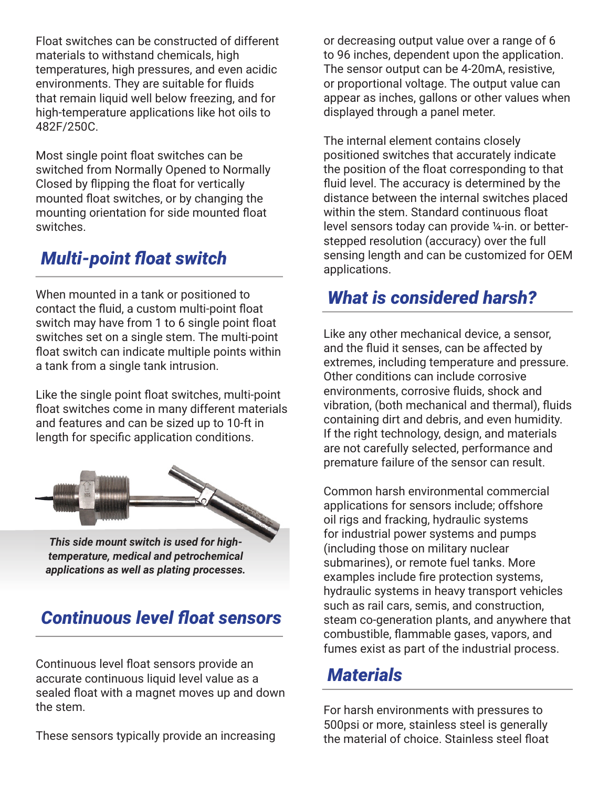Float switches can be constructed of different materials to withstand chemicals, high temperatures, high pressures, and even acidic environments. They are suitable for fluids that remain liquid well below freezing, and for high-temperature applications like hot oils to 482F/250C.

Most single point float switches can be switched from Normally Opened to Normally Closed by flipping the float for vertically mounted float switches, or by changing the mounting orientation for side mounted float switches.

# **Multi-point float switch** sensing lengt<br>applications.

When mounted in a tank or positioned to **What is considered harsh?** contact the fluid, a custom multi-point float switch may have from 1 to 6 single point float switches set on a single stem. The multi-point float switch can indicate multiple points within a tank from a single tank intrusion.

Like the single point float switches, multi-point float switches come in many different materials and features and can be sized up to 10-ft in length for specific application conditions.



*This side mount switch is used for hightemperature, medical and petrochemical applications as well as plating processes.*

# *Continuous level float sensors*

Continuous level float sensors provide an accurate continuous liquid level value as a sealed float with a magnet moves up and down the stem.

These sensors typically provide an increasing

or decreasing output value over a range of 6 to 96 inches, dependent upon the application. The sensor output can be 4-20mA, resistive, or proportional voltage. The output value can appear as inches, gallons or other values when displayed through a panel meter.

The internal element contains closely positioned switches that accurately indicate the position of the float corresponding to that fluid level. The accuracy is determined by the distance between the internal switches placed within the stem. Standard continuous float level sensors today can provide ¼-in. or betterstepped resolution (accuracy) over the full sensing length and can be customized for OEM

Like any other mechanical device, a sensor, and the fluid it senses, can be affected by extremes, including temperature and pressure. Other conditions can include corrosive environments, corrosive fluids, shock and vibration, (both mechanical and thermal), fluids containing dirt and debris, and even humidity. If the right technology, design, and materials are not carefully selected, performance and premature failure of the sensor can result.

Common harsh environmental commercial applications for sensors include; offshore oil rigs and fracking, hydraulic systems for industrial power systems and pumps (including those on military nuclear submarines), or remote fuel tanks. More examples include fire protection systems, hydraulic systems in heavy transport vehicles such as rail cars, semis, and construction, steam co-generation plants, and anywhere that combustible, flammable gases, vapors, and fumes exist as part of the industrial process.

# *Materials*

For harsh environments with pressures to 500psi or more, stainless steel is generally the material of choice. Stainless steel float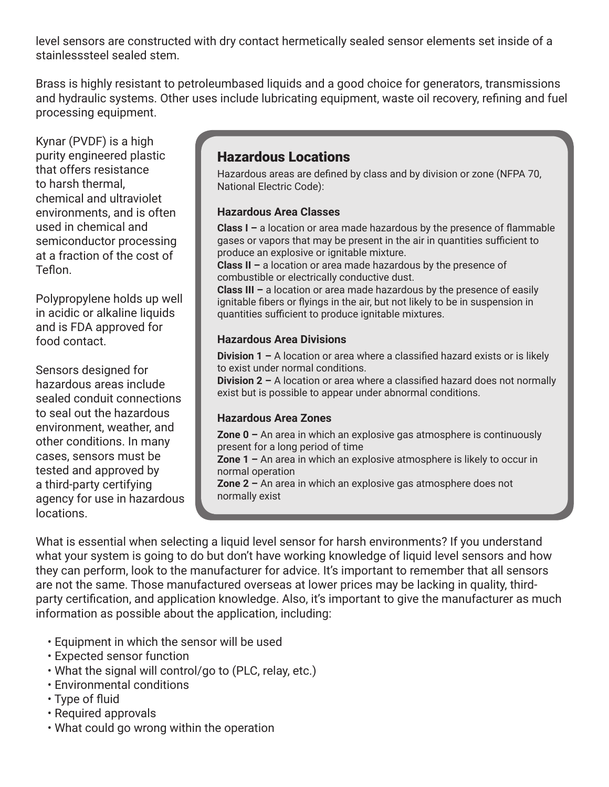level sensors are constructed with dry contact hermetically sealed sensor elements set inside of a stainlesssteel sealed stem.

Brass is highly resistant to petroleumbased liquids and a good choice for generators, transmissions and hydraulic systems. Other uses include lubricating equipment, waste oil recovery, refining and fuel processing equipment.

Kynar (PVDF) is a high purity engineered plastic that offers resistance to harsh thermal, chemical and ultraviolet environments, and is often used in chemical and semiconductor processing at a fraction of the cost of Teflon.

Polypropylene holds up well in acidic or alkaline liquids and is FDA approved for food contact.

Sensors designed for hazardous areas include sealed conduit connections to seal out the hazardous environment, weather, and other conditions. In many cases, sensors must be tested and approved by a third-party certifying agency for use in hazardous locations.

### Hazardous Locations

Hazardous areas are defined by class and by division or zone (NFPA 70, National Electric Code):

#### **Hazardous Area Classes**

**Class I –** a location or area made hazardous by the presence of flammable gases or vapors that may be present in the air in quantities sufficient to produce an explosive or ignitable mixture.

**Class II –** a location or area made hazardous by the presence of combustible or electrically conductive dust.

**Class III –** a location or area made hazardous by the presence of easily ignitable fibers or flyings in the air, but not likely to be in suspension in quantities sufficient to produce ignitable mixtures.

#### **Hazardous Area Divisions**

**Division 1 –** A location or area where a classified hazard exists or is likely to exist under normal conditions.

**Division 2 –** A location or area where a classified hazard does not normally exist but is possible to appear under abnormal conditions.

#### **Hazardous Area Zones**

**Zone 0 –** An area in which an explosive gas atmosphere is continuously present for a long period of time

**Zone 1 –** An area in which an explosive atmosphere is likely to occur in normal operation

**Zone 2 –** An area in which an explosive gas atmosphere does not normally exist

What is essential when selecting a liquid level sensor for harsh environments? If you understand what your system is going to do but don't have working knowledge of liquid level sensors and how they can perform, look to the manufacturer for advice. It's important to remember that all sensors are not the same. Those manufactured overseas at lower prices may be lacking in quality, thirdparty certification, and application knowledge. Also, it's important to give the manufacturer as much information as possible about the application, including:

- Equipment in which the sensor will be used
- Expected sensor function
- What the signal will control/go to (PLC, relay, etc.)
- Environmental conditions
- Type of fluid
- Required approvals
- What could go wrong within the operation